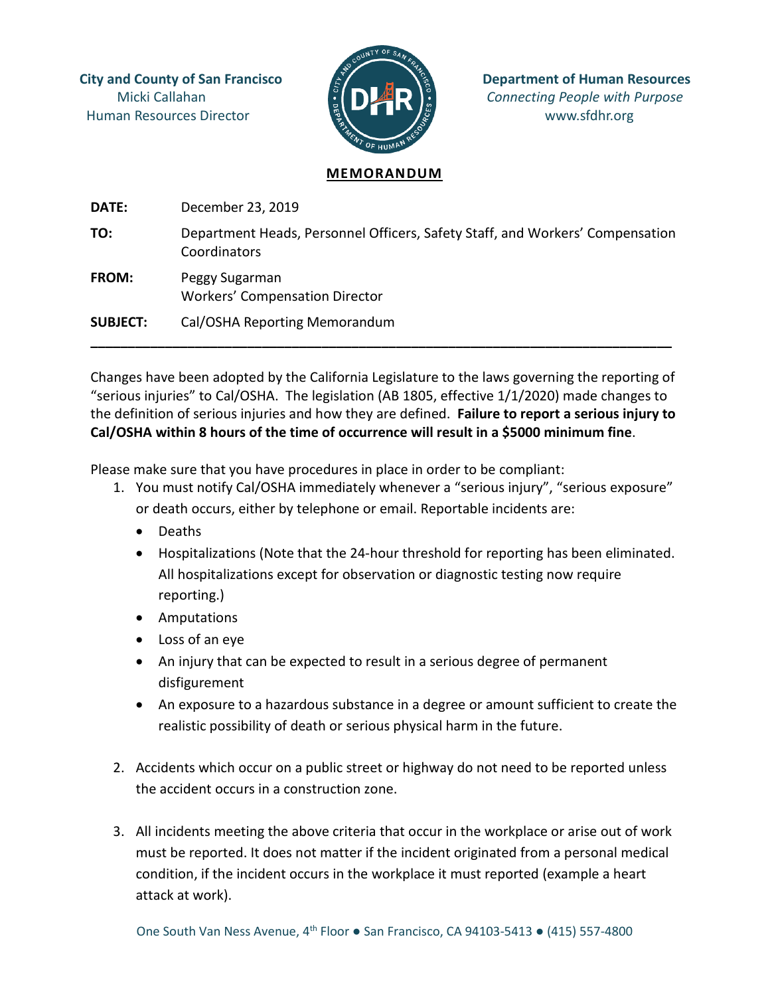Human Resources Director **WALLET AND SERVICES** WWW.sfdhr.org



**City and County of San Francisco**  $\mathbb{E}$   $\mathbb{E}$  **Department of Human Resources** Micki Callahan **Connecting People with Purpose** 

## **MEMORANDUM**

**DATE:** December 23, 2019 **TO:** Department Heads, Personnel Officers, Safety Staff, and Workers' Compensation Coordinators **FROM:** Peggy Sugarman Workers' Compensation Director **SUBJECT:** Cal/OSHA Reporting Memorandum

Changes have been adopted by the California Legislature to the laws governing the reporting of "serious injuries" to Cal/OSHA. The legislation (AB 1805, effective 1/1/2020) made changes to the definition of serious injuries and how they are defined. **Failure to report a serious injury to Cal/OSHA within 8 hours of the time of occurrence will result in a \$5000 minimum fine**.

**\_\_\_\_\_\_\_\_\_\_\_\_\_\_\_\_\_\_\_\_\_\_\_\_\_\_\_\_\_\_\_\_\_\_\_\_\_\_\_\_\_\_\_\_\_\_\_\_\_\_\_\_\_\_\_\_\_\_\_\_\_\_\_\_\_\_\_\_\_\_\_\_\_\_\_\_\_\_**

Please make sure that you have procedures in place in order to be compliant:

- 1. You must notify Cal/OSHA immediately whenever a "serious injury", "serious exposure" or death occurs, either by telephone or email. Reportable incidents are:
	- Deaths
	- Hospitalizations (Note that the 24-hour threshold for reporting has been eliminated. All hospitalizations except for observation or diagnostic testing now require reporting.)
	- Amputations
	- Loss of an eye
	- An injury that can be expected to result in a serious degree of permanent disfigurement
	- An exposure to a hazardous substance in a degree or amount sufficient to create the realistic possibility of death or serious physical harm in the future.
- 2. Accidents which occur on a public street or highway do not need to be reported unless the accident occurs in a construction zone.
- 3. All incidents meeting the above criteria that occur in the workplace or arise out of work must be reported. It does not matter if the incident originated from a personal medical condition, if the incident occurs in the workplace it must reported (example a heart attack at work).